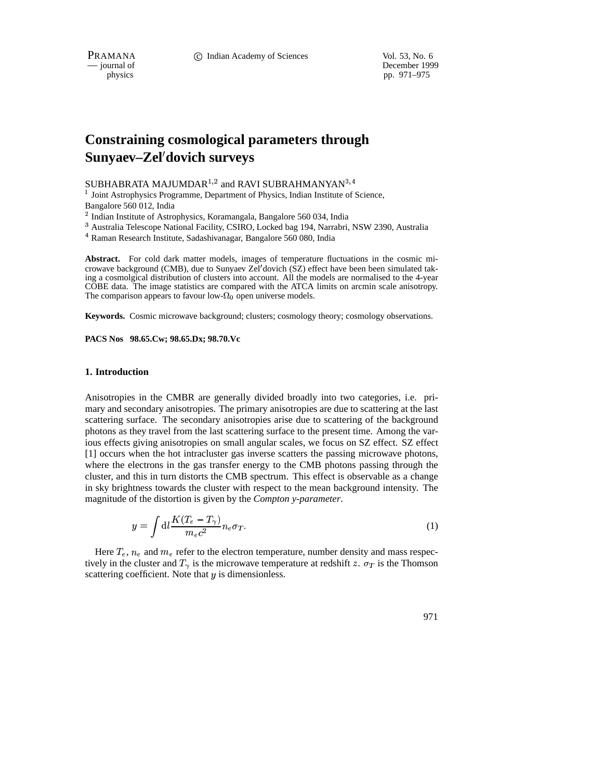PRAMANA **C** Indian Academy of Sciences Vol. 53, No. 6

— journal of December 1999 physics pp. 971–975

# **Constraining cosmological parameters through Sunyaev–Zel dovich surveys**

SUBHABRATA MAJUMDAR $^{1,2}$  and RAVI SUBRAHMANYAN $^{3,4}$ 

<sup>1</sup> Joint Astrophysics Programme, Department of Physics, Indian Institute of Science, Bangalore 560 012, India

<sup>2</sup> Indian Institute of Astrophysics, Koramangala, Bangalore 560 034, India

<sup>3</sup> Australia Telescope National Facility, CSIRO, Locked bag 194, Narrabri, NSW 2390, Australia

<sup>4</sup> Raman Research Institute, Sadashivanagar, Bangalore 560 080, India

**Abstract.** For cold dark matter models, images of temperature fluctuations in the cosmic microwave background (CMB), due to Sunyaev Zel'dovich (SZ) effect have been been simulated taking a cosmolgical distribution of clusters into account. All the models are normalised to the 4-year COBE data. The image statistics are compared with the ATCA limits on arcmin scale anisotropy. The comparison appears to favour low- $\Omega_0$  open universe models.

**Keywords.** Cosmic microwave background; clusters; cosmology theory; cosmology observations.

**PACS Nos 98.65.Cw; 98.65.Dx; 98.70.Vc**

# **1. Introduction**

Anisotropies in the CMBR are generally divided broadly into two categories, i.e. primary and secondary anisotropies. The primary anisotropies are due to scattering at the last scattering surface. The secondary anisotropies arise due to scattering of the background photons as they travel from the last scattering surface to the present time. Among the various effects giving anisotropies on small angular scales, we focus on SZ effect. SZ effect [1] occurs when the hot intracluster gas inverse scatters the passing microwave photons, where the electrons in the gas transfer energy to the CMB photons passing through the cluster, and this in turn distorts the CMB spectrum. This effect is observable as a change in sky brightness towards the cluster with respect to the mean background intensity. The magnitude of the distortion is given by the *Compton y-parameter*.

$$
y = \int \mathrm{d}l \frac{K(T_e - T_\gamma)}{m_e c^2} n_e \sigma_T. \tag{1}
$$

Here  $T_e$ ,  $n_e$  and  $m_e$  refer to the electron temperature, number density and mass respectively in the cluster and  $T_{\gamma}$  is the microwave temperature at redshift z.  $\sigma_T$  is the Thomson scattering coefficient. Note that  $y$  is dimensionless.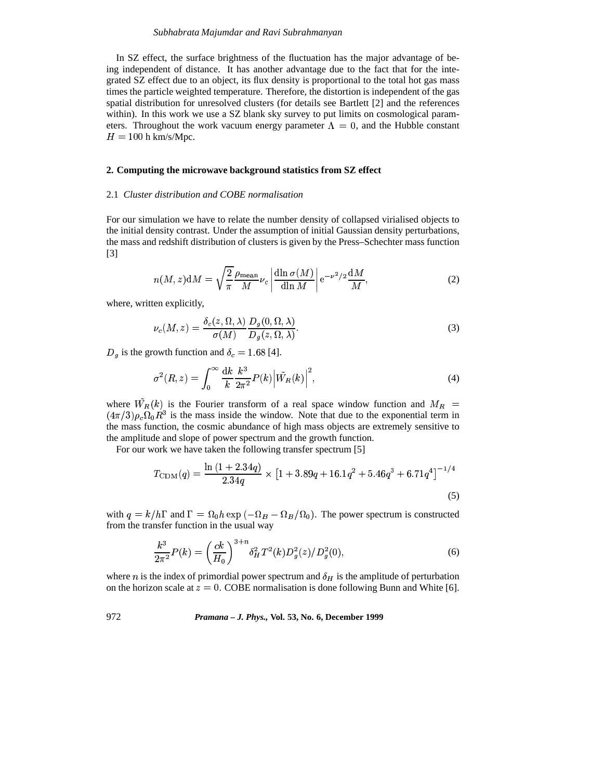## *Subhabrata Majumdar and Ravi Subrahmanyan*

In SZ effect, the surface brightness of the fluctuation has the major advantage of being independent of distance. It has another advantage due to the fact that for the integrated SZ effect due to an object, its flux density is proportional to the total hot gas mass times the particle weighted temperature. Therefore, the distortion is independent of the gas spatial distribution for unresolved clusters (for details see Bartlett [2] and the references within). In this work we use a SZ blank sky survey to put limits on cosmological parameters. Throughout the work vacuum energy parameter  $\Lambda = 0$ , and the Hubble constant  $H = 100$  h km/s/Mpc.

### **2. Computing the microwave background statistics from SZ effect**

## 2.1 *Cluster distribution and COBE normalisation*

For our simulation we have to relate the number density of collapsed virialised objects to the initial density contrast. Under the assumption of initial Gaussian density perturbations, the mass and redshift distribution of clusters is given by the Press–Schechter mass function [3]

$$
n(M, z)dM = \sqrt{\frac{2}{\pi}} \frac{\rho_{\text{mean}}}{M} \nu_c \left| \frac{\text{dln} \sigma(M)}{\text{dln} M} \right| e^{-\nu^2/2} \frac{\text{d}M}{M},\tag{2}
$$

where, written explicitly,

$$
\nu_c(M, z) = \frac{\delta_c(z, \Omega, \lambda)}{\sigma(M)} \frac{D_g(0, \Omega, \lambda)}{D_g(z, \Omega, \lambda)}.
$$
\n(3)

 $\frac{9}{2}$   $\frac{168}{141}$  $D_g$  is the growth function and  $\delta_c = 1.68$  [4].<br>  $\int_{c}^{\infty} d\mathbf{k} \cdot \mathbf{k}^3$ 

$$
\sigma^{2}(R, z) = \int_{0}^{\infty} \frac{dk}{k} \frac{k^{3}}{2\pi^{2}} P(k) |\tilde{W}_{R}(k)|^{2},
$$
\n(4)

\nwhere  $\tilde{W}_{R}(k)$  is the Fourier transform of a real space window function and  $M_{R}$  =

 $(4\pi/3)\rho_c\Omega_0R^3$  is the mass inside the window. Note that due to the exponential term in the mass function, the cosmic abundance of high mass objects are extremely sensitive to the amplitude and slope of power spectrum and the growth function.

For our work we have taken the following transfer spectrum [5]

$$
T_{\rm CDM}(q) = \frac{\ln\left(1 + 2.34q\right)}{2.34q} \times \left[1 + 3.89q + 16.1q^2 + 5.46q^3 + 6.71q^4\right]^{-1/4}
$$
\n(5)

with  $q = k/h\Gamma$  and  $\Gamma = \Omega_0 h \exp(-\Omega_B - \Omega_B/\Omega_0)$ . The power spectrum is constructed ^ from the transfer function in the usual way

$$
\frac{k^3}{2\pi^2}P(k) = \left(\frac{ck}{H_0}\right)^{3+n} \delta_H^2 T^2(k) D_g^2(z) / D_g^2(0),\tag{6}
$$

where *n* is the index of primordial power spectrum and  $\delta_H$  is the amplitude of perturbation on the horizon scale at  $z = 0$ . COBE normalisation is done following Bunn and White [6].

972 *Pramana – J. Phys.,* **Vol. 53, No. 6, December 1999**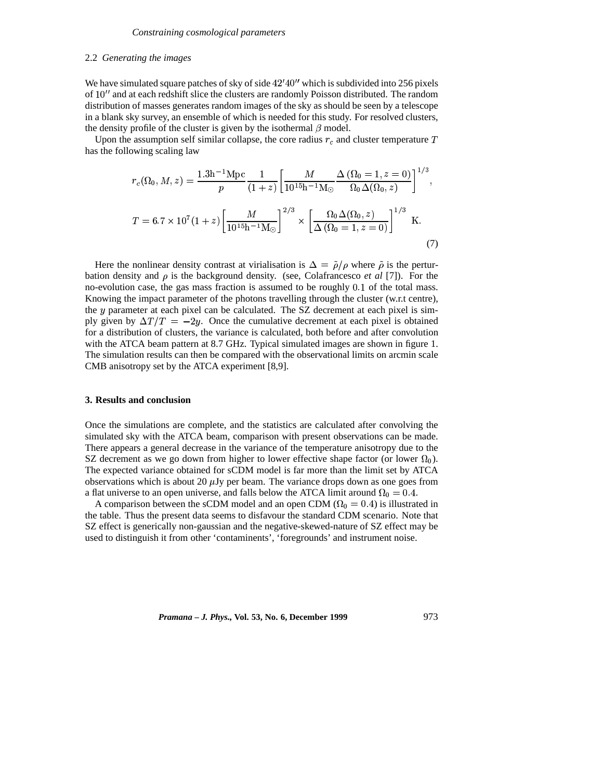### 2.2 *Generating the images*

We have simulated square patches of sky of side  $42'40''$  which is subdivided into 256 pixels of 10" and at each redshift slice the clusters are randomly Poisson distributed. The random distribution of masses generates random images of the sky as should be seen by a telescope in a blank sky survey, an ensemble of which is needed for this study. For resolved clusters, the density profile of the cluster is given by the isothermal  $\beta$  model.

Upon the assumption self similar collapse, the core radius  $r_c$  and cluster temperature has the following scaling law

$$
r_c(\Omega_0, M, z) = \frac{1.3h^{-1}Mpc}{p} \frac{1}{(1+z)} \left[ \frac{M}{10^{15}h^{-1}M_\odot} \frac{\Delta(\Omega_0 = 1, z = 0)}{\Omega_0 \Delta(\Omega_0, z)} \right]^{1/3},
$$
  

$$
T = 6.7 \times 10^7 (1+z) \left[ \frac{M}{10^{15}h^{-1}M_\odot} \right]^{2/3} \times \left[ \frac{\Omega_0 \Delta(\Omega_0, z)}{\Delta(\Omega_0 = 1, z = 0)} \right]^{1/3} \text{ K.}
$$
 (7)

Here the nonlinear density contrast at virialisation is  $\Delta = \tilde{\rho}/\rho$  where  $\tilde{\rho}$  is the pertur-<br>tion density and  $\rho$  is the background density (see Colafrancesco *et al* [7]). For the bation density and  $\rho$  is the background density. (see, Colafrancesco *et al* [7]). For the no-evolution case, the gas mass fraction is assumed to be roughly 0.1 of the total mass. Knowing the impact parameter of the photons travelling through the cluster (w.r.t centre), the y parameter at each pixel can be calculated. The SZ decrement at each pixel is simply given by  $\Delta T/T = -2y$ . Once the cumulative decrement at each pixel is obtained for a distribution of clusters, the variance is calculated, both before and after convolution with the ATCA beam pattern at 8.7 GHz. Typical simulated images are shown in figure 1. The simulation results can then be compared with the observational limits on arcmin scale CMB anisotropy set by the ATCA experiment [8,9].

### **3. Results and conclusion**

Once the simulations are complete, and the statistics are calculated after convolving the simulated sky with the ATCA beam, comparison with present observations can be made. There appears a general decrease in the variance of the temperature anisotropy due to the SZ decrement as we go down from higher to lower effective shape factor (or lower  $\Omega_0$ ). The expected variance obtained for sCDM model is far more than the limit set by ATCA observations which is about 20  $\mu$ Jy per beam. The variance drops down as one goes from a flat universe to an open universe, and falls below the ATCA limit around  $\Omega_0 = 0.4$ .

A comparison between the sCDM model and an open CDM ( $\Omega_0 = 0.4$ ) is illustrated in ^ the table. Thus the present data seems to disfavour the standard CDM scenario. Note that SZ effect is generically non-gaussian and the negative-skewed-nature of SZ effect may be used to distinguish it from other 'contaminents', 'foregrounds' and instrument noise.

*Pramana – J. Phys.,* **Vol. 53, No. 6, December 1999** 973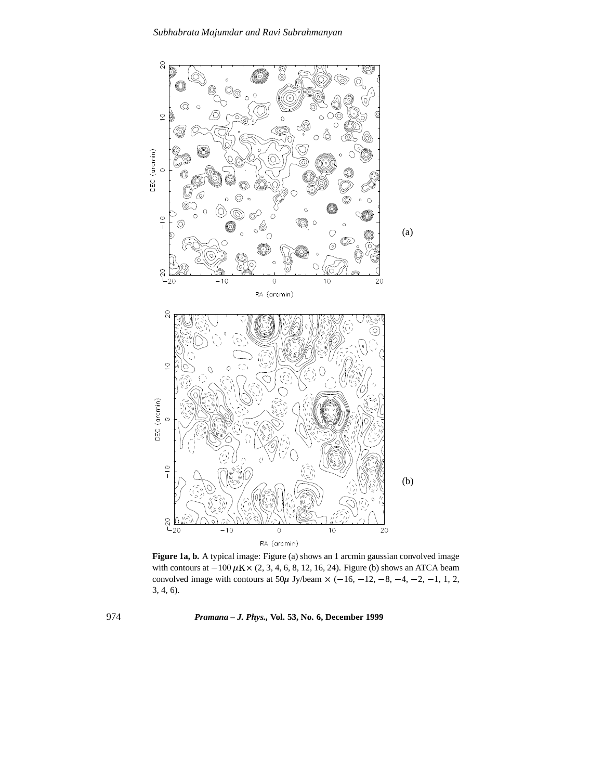

**Figure 1a, b.** A typical image: Figure (a) shows an 1 arcmin gaussian convolved image with contours at  $-100 \mu$ K × (2, 3, 4, 6, 8, 12, 16, 24). Figure (b) shows an ATCA beam convolved image with contours at  $50\mu$  Jy/beam  $\times$  (-16, -12, -8, -4, -2, -1, 1, 2, 3, 4, 6).

974 *Pramana – J. Phys.,* **Vol. 53, No. 6, December 1999**